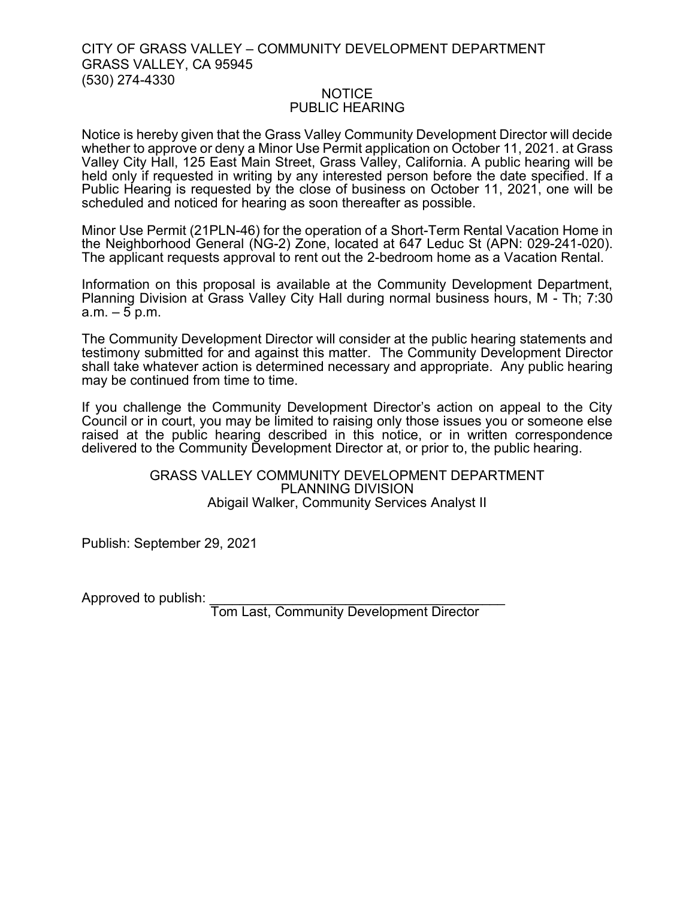## CITY OF GRASS VALLEY – COMMUNITY DEVELOPMENT DEPARTMENT GRASS VALLEY, CA 95945 (530) 274-4330

## NOTICE PUBLIC HEARING

Notice is hereby given that the Grass Valley Community Development Director will decide whether to approve or deny a Minor Use Permit application on October 11, 2021. at Grass Valley City Hall, 125 East Main Street, Grass Valley, California. A public hearing will be held only if requested in writing by any interested person before the date specified. If a Public Hearing is requested by the close of business on October 11, 2021, one will be scheduled and noticed for hearing as soon thereafter as possible.

Minor Use Permit (21PLN-46) for the operation of a Short-Term Rental Vacation Home in the Neighborhood General (NG-2) Zone, located at 647 Leduc St (APN: 029-241-020). The applicant requests approval to rent out the 2-bedroom home as a Vacation Rental.

Information on this proposal is available at the Community Development Department, Planning Division at Grass Valley City Hall during normal business hours, M - Th; 7:30  $a.m. - 5 p.m.$ 

The Community Development Director will consider at the public hearing statements and testimony submitted for and against this matter. The Community Development Director shall take whatever action is determined necessary and appropriate. Any public hearing may be continued from time to time.

If you challenge the Community Development Director's action on appeal to the City Council or in court, you may be limited to raising only those issues you or someone else raised at the public hearing described in this notice, or in written correspondence delivered to the Community Development Director at, or prior to, the public hearing.

## GRASS VALLEY COMMUNITY DEVELOPMENT DEPARTMENT PLANNING DIVISION Abigail Walker, Community Services Analyst II

Publish: September 29, 2021

Approved to publish:

Tom Last, Community Development Director